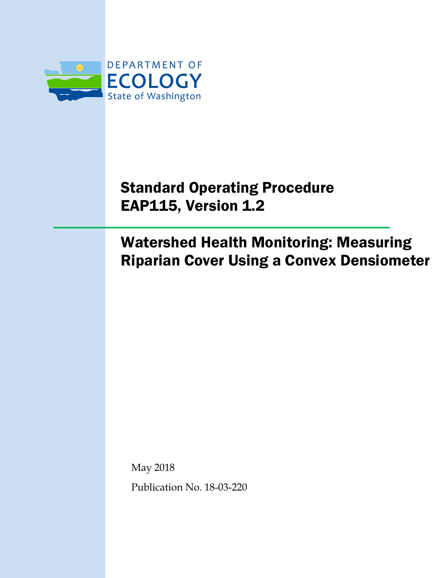

# Standard Operating Procedure EAP115, Version 1.2

# Watershed Health Monitoring: Measuring Riparian Cover Using a Convex Densiometer

May 2018

Publication No. 18-03-220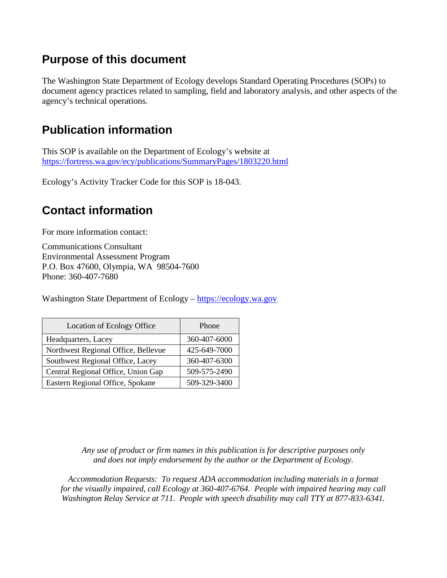## **Purpose of this document**

The Washington State Department of Ecology develops Standard Operating Procedures (SOPs) to document agency practices related to sampling, field and laboratory analysis, and other aspects of the agency's technical operations.

## **Publication information**

This SOP is available on the Department of Ecology's website at <https://fortress.wa.gov/ecy/publications/SummaryPages/1803220.html>

Ecology's Activity Tracker Code for this SOP is 18-043.

## **Contact information**

For more information contact:

Communications Consultant Environmental Assessment Program P.O. Box 47600, Olympia, WA 98504-7600 Phone: 360-407-7680

Washington State Department of Ecology – [https://ecology.wa.gov](https://ecology.wa.gov/)

| Location of Ecology Office          | Phone        |
|-------------------------------------|--------------|
| Headquarters, Lacey                 | 360-407-6000 |
| Northwest Regional Office, Bellevue | 425-649-7000 |
| Southwest Regional Office, Lacey    | 360-407-6300 |
| Central Regional Office, Union Gap  | 509-575-2490 |
| Eastern Regional Office, Spokane    | 509-329-3400 |

*Any use of product or firm names in this publication is for descriptive purposes only and does not imply endorsement by the author or the Department of Ecology.*

*Accommodation Requests: To request ADA accommodation including materials in a format for the visually impaired, call Ecology at 360-407-6764. People with impaired hearing may call Washington Relay Service at 711. People with speech disability may call TTY at 877-833-6341.*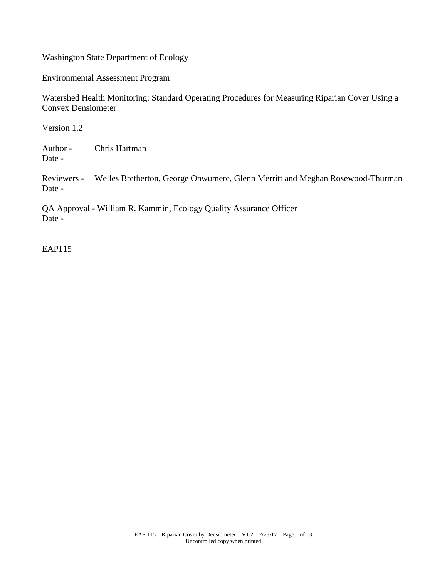Washington State Department of Ecology

Environmental Assessment Program

Watershed Health Monitoring: Standard Operating Procedures for Measuring Riparian Cover Using a Convex Densiometer

Version 1.2

Author - Chris Hartman Date -

Reviewers - Welles Bretherton, George Onwumere, Glenn Merritt and Meghan Rosewood-Thurman Date -

QA Approval - William R. Kammin, Ecology Quality Assurance Officer Date -

EAP115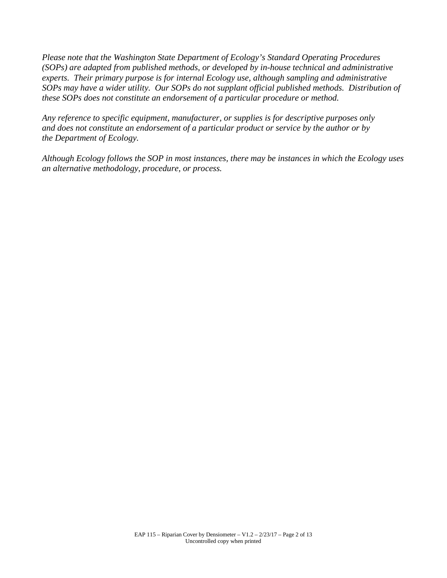*Please note that the Washington State Department of Ecology's Standard Operating Procedures (SOPs) are adapted from published methods, or developed by in-house technical and administrative experts. Their primary purpose is for internal Ecology use, although sampling and administrative SOPs may have a wider utility. Our SOPs do not supplant official published methods. Distribution of these SOPs does not constitute an endorsement of a particular procedure or method.*

*Any reference to specific equipment, manufacturer, or supplies is for descriptive purposes only and does not constitute an endorsement of a particular product or service by the author or by the Department of Ecology.*

*Although Ecology follows the SOP in most instances, there may be instances in which the Ecology uses an alternative methodology, procedure, or process.*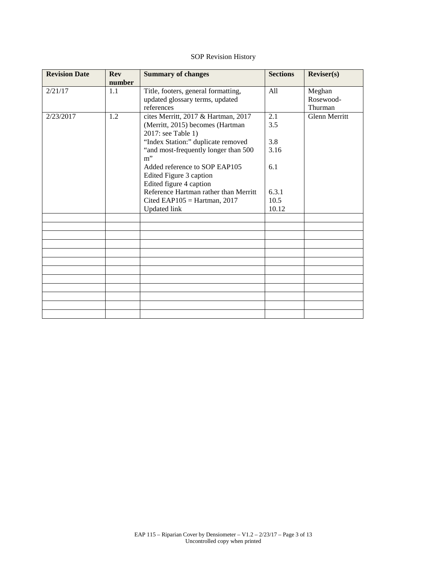### SOP Revision History

| <b>Revision Date</b> | <b>Rev</b> | <b>Summary of changes</b>             | <b>Sections</b> | Reviews)             |
|----------------------|------------|---------------------------------------|-----------------|----------------------|
|                      | number     |                                       |                 |                      |
| 2/21/17              | 1.1        | Title, footers, general formatting,   | All             | Meghan               |
|                      |            | updated glossary terms, updated       |                 | Rosewood-            |
|                      |            | references                            |                 | Thurman              |
| 2/23/2017            | 1.2        | cites Merritt, 2017 & Hartman, 2017   | 2.1             | <b>Glenn Merritt</b> |
|                      |            | (Merritt, 2015) becomes (Hartman      | 3.5             |                      |
|                      |            | 2017: see Table 1)                    |                 |                      |
|                      |            | "Index Station:" duplicate removed    | 3.8             |                      |
|                      |            | "and most-frequently longer than 500  | 3.16            |                      |
|                      |            | $m$ "                                 |                 |                      |
|                      |            | Added reference to SOP EAP105         | 6.1             |                      |
|                      |            | Edited Figure 3 caption               |                 |                      |
|                      |            | Edited figure 4 caption               |                 |                      |
|                      |            | Reference Hartman rather than Merritt | 6.3.1           |                      |
|                      |            | Cited EAP105 = Hartman, $2017$        | 10.5            |                      |
|                      |            | <b>Updated link</b>                   | 10.12           |                      |
|                      |            |                                       |                 |                      |
|                      |            |                                       |                 |                      |
|                      |            |                                       |                 |                      |
|                      |            |                                       |                 |                      |
|                      |            |                                       |                 |                      |
|                      |            |                                       |                 |                      |
|                      |            |                                       |                 |                      |
|                      |            |                                       |                 |                      |
|                      |            |                                       |                 |                      |
|                      |            |                                       |                 |                      |
|                      |            |                                       |                 |                      |
|                      |            |                                       |                 |                      |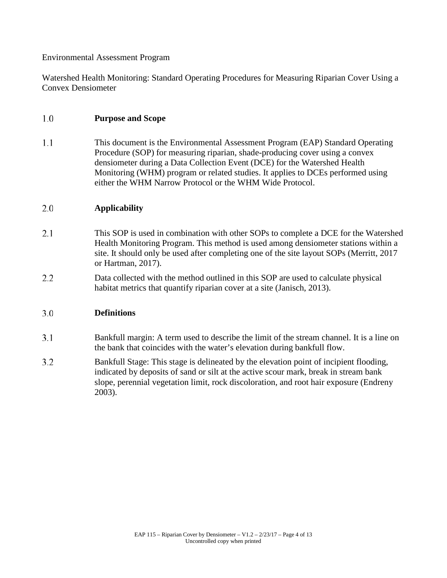### Environmental Assessment Program

Watershed Health Monitoring: Standard Operating Procedures for Measuring Riparian Cover Using a Convex Densiometer

#### 1.0 **Purpose and Scope**

 $1.1$ This document is the Environmental Assessment Program (EAP) Standard Operating Procedure (SOP) for measuring riparian, shade-producing cover using a convex densiometer during a Data Collection Event (DCE) for the Watershed Health Monitoring (WHM) program or related studies. It applies to DCEs performed using either the WHM Narrow Protocol or the WHM Wide Protocol.

#### 2.0 **Applicability**

- $2.1$ This SOP is used in combination with other SOPs to complete a DCE for the Watershed Health Monitoring Program. This method is used among densiometer stations within a site. It should only be used after completing one of the site layout SOPs (Merritt, 2017 or Hartman, 2017).
- $2.2$ Data collected with the method outlined in this SOP are used to calculate physical habitat metrics that quantify riparian cover at a site (Janisch, 2013).

#### $3.0$ **Definitions**

- $3.1$ Bankfull margin: A term used to describe the limit of the stream channel. It is a line on the bank that coincides with the water's elevation during bankfull flow.
- $3.2$ Bankfull Stage: This stage is delineated by the elevation point of incipient flooding, indicated by deposits of sand or silt at the active scour mark, break in stream bank slope, perennial vegetation limit, rock discoloration, and root hair exposure (Endreny 2003).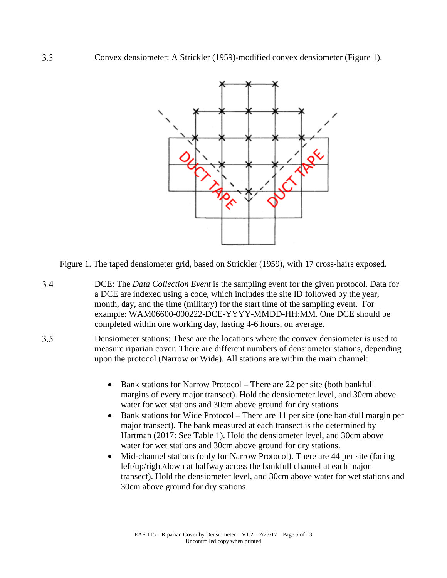

Figure 1. The taped densiometer grid, based on Strickler (1959), with 17 cross-hairs exposed.

- $3.4$ DCE: The *Data Collection Event* is the sampling event for the given protocol. Data for a DCE are indexed using a code, which includes the site ID followed by the year, month, day, and the time (military) for the start time of the sampling event. For example: WAM06600-000222-DCE-YYYY-MMDD-HH:MM. One DCE should be completed within one working day, lasting 4-6 hours, on average.
- $3.5$ Densiometer stations: These are the locations where the convex densiometer is used to measure riparian cover. There are different numbers of densiometer stations, depending upon the protocol (Narrow or Wide). All stations are within the main channel:
	- Bank stations for Narrow Protocol There are 22 per site (both bankfull margins of every major transect). Hold the densiometer level, and 30cm above water for wet stations and 30cm above ground for dry stations
	- Bank stations for Wide Protocol There are 11 per site (one bankfull margin per major transect). The bank measured at each transect is the determined by Hartman (2017: See Table 1). Hold the densiometer level, and 30cm above water for wet stations and 30cm above ground for dry stations.
	- Mid-channel stations (only for Narrow Protocol). There are 44 per site (facing left/up/right/down at halfway across the bankfull channel at each major transect). Hold the densiometer level, and 30cm above water for wet stations and 30cm above ground for dry stations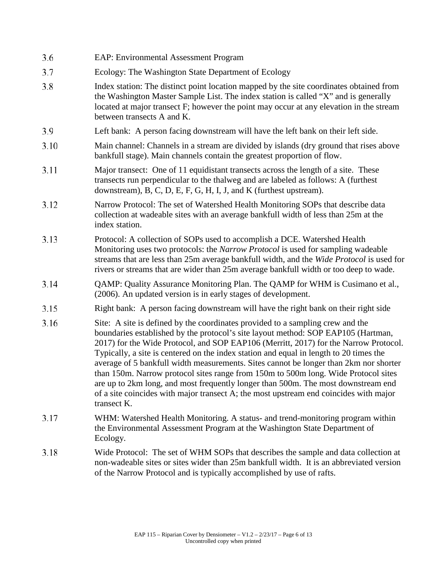| 3.6  | <b>EAP: Environmental Assessment Program</b>                                                                                                                                                                                                                                                                                                                                                                                                                                                                                                                                                                                                                                                                                      |
|------|-----------------------------------------------------------------------------------------------------------------------------------------------------------------------------------------------------------------------------------------------------------------------------------------------------------------------------------------------------------------------------------------------------------------------------------------------------------------------------------------------------------------------------------------------------------------------------------------------------------------------------------------------------------------------------------------------------------------------------------|
| 3.7  | Ecology: The Washington State Department of Ecology                                                                                                                                                                                                                                                                                                                                                                                                                                                                                                                                                                                                                                                                               |
| 3.8  | Index station: The distinct point location mapped by the site coordinates obtained from<br>the Washington Master Sample List. The index station is called "X" and is generally<br>located at major transect F; however the point may occur at any elevation in the stream<br>between transects A and K.                                                                                                                                                                                                                                                                                                                                                                                                                           |
| 3.9  | Left bank: A person facing downstream will have the left bank on their left side.                                                                                                                                                                                                                                                                                                                                                                                                                                                                                                                                                                                                                                                 |
| 3.10 | Main channel: Channels in a stream are divided by islands (dry ground that rises above<br>bankfull stage). Main channels contain the greatest proportion of flow.                                                                                                                                                                                                                                                                                                                                                                                                                                                                                                                                                                 |
| 3.11 | Major transect: One of 11 equidistant transects across the length of a site. These<br>transects run perpendicular to the thalweg and are labeled as follows: A (furthest<br>downstream), B, C, D, E, F, G, H, I, J, and K (furthest upstream).                                                                                                                                                                                                                                                                                                                                                                                                                                                                                    |
| 3.12 | Narrow Protocol: The set of Watershed Health Monitoring SOPs that describe data<br>collection at wadeable sites with an average bankfull width of less than 25m at the<br>index station.                                                                                                                                                                                                                                                                                                                                                                                                                                                                                                                                          |
| 3.13 | Protocol: A collection of SOPs used to accomplish a DCE. Watershed Health<br>Monitoring uses two protocols: the Narrow Protocol is used for sampling wadeable<br>streams that are less than 25m average bankfull width, and the Wide Protocol is used for<br>rivers or streams that are wider than 25m average bankfull width or too deep to wade.                                                                                                                                                                                                                                                                                                                                                                                |
| 3.14 | QAMP: Quality Assurance Monitoring Plan. The QAMP for WHM is Cusimano et al.,<br>(2006). An updated version is in early stages of development.                                                                                                                                                                                                                                                                                                                                                                                                                                                                                                                                                                                    |
| 3.15 | Right bank: A person facing downstream will have the right bank on their right side                                                                                                                                                                                                                                                                                                                                                                                                                                                                                                                                                                                                                                               |
| 3.16 | Site: A site is defined by the coordinates provided to a sampling crew and the<br>boundaries established by the protocol's site layout method: SOP EAP105 (Hartman,<br>2017) for the Wide Protocol, and SOP EAP106 (Merritt, 2017) for the Narrow Protocol.<br>Typically, a site is centered on the index station and equal in length to 20 times the<br>average of 5 bankfull width measurements. Sites cannot be longer than 2km nor shorter<br>than 150m. Narrow protocol sites range from 150m to 500m long. Wide Protocol sites<br>are up to 2km long, and most frequently longer than 500m. The most downstream end<br>of a site coincides with major transect A; the most upstream end coincides with major<br>transect K. |
| 3.17 | WHM: Watershed Health Monitoring. A status- and trend-monitoring program within<br>the Environmental Assessment Program at the Washington State Department of<br>Ecology.                                                                                                                                                                                                                                                                                                                                                                                                                                                                                                                                                         |
| 3.18 | Wide Protocol: The set of WHM SOPs that describes the sample and data collection at<br>non-wadeable sites or sites wider than 25m bankfull width. It is an abbreviated version<br>of the Narrow Protocol and is typically accomplished by use of rafts.                                                                                                                                                                                                                                                                                                                                                                                                                                                                           |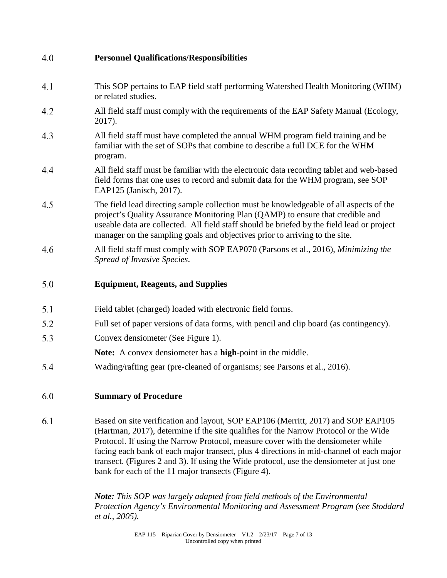| 4.0 | <b>Personnel Qualifications/Responsibilities</b>                                                                                                                                                                                                                                                                                                                                                                                                                                                           |
|-----|------------------------------------------------------------------------------------------------------------------------------------------------------------------------------------------------------------------------------------------------------------------------------------------------------------------------------------------------------------------------------------------------------------------------------------------------------------------------------------------------------------|
| 4.1 | This SOP pertains to EAP field staff performing Watershed Health Monitoring (WHM)<br>or related studies.                                                                                                                                                                                                                                                                                                                                                                                                   |
| 4.2 | All field staff must comply with the requirements of the EAP Safety Manual (Ecology,<br>2017).                                                                                                                                                                                                                                                                                                                                                                                                             |
| 4.3 | All field staff must have completed the annual WHM program field training and be<br>familiar with the set of SOPs that combine to describe a full DCE for the WHM<br>program.                                                                                                                                                                                                                                                                                                                              |
| 4.4 | All field staff must be familiar with the electronic data recording tablet and web-based<br>field forms that one uses to record and submit data for the WHM program, see SOP<br>EAP125 (Janisch, 2017).                                                                                                                                                                                                                                                                                                    |
| 4.5 | The field lead directing sample collection must be knowledgeable of all aspects of the<br>project's Quality Assurance Monitoring Plan (QAMP) to ensure that credible and<br>useable data are collected. All field staff should be briefed by the field lead or project<br>manager on the sampling goals and objectives prior to arriving to the site.                                                                                                                                                      |
| 4.6 | All field staff must comply with SOP EAP070 (Parsons et al., 2016), Minimizing the<br>Spread of Invasive Species.                                                                                                                                                                                                                                                                                                                                                                                          |
| 5.0 | <b>Equipment, Reagents, and Supplies</b>                                                                                                                                                                                                                                                                                                                                                                                                                                                                   |
| 5.1 | Field tablet (charged) loaded with electronic field forms.                                                                                                                                                                                                                                                                                                                                                                                                                                                 |
| 5.2 | Full set of paper versions of data forms, with pencil and clip board (as contingency).                                                                                                                                                                                                                                                                                                                                                                                                                     |
| 5.3 | Convex densiometer (See Figure 1).                                                                                                                                                                                                                                                                                                                                                                                                                                                                         |
|     | Note: A convex densiometer has a high-point in the middle.                                                                                                                                                                                                                                                                                                                                                                                                                                                 |
| 5.4 | Wading/rafting gear (pre-cleaned of organisms; see Parsons et al., 2016).                                                                                                                                                                                                                                                                                                                                                                                                                                  |
| 6.0 | <b>Summary of Procedure</b>                                                                                                                                                                                                                                                                                                                                                                                                                                                                                |
| 6.1 | Based on site verification and layout, SOP EAP106 (Merritt, 2017) and SOP EAP105<br>(Hartman, 2017), determine if the site qualifies for the Narrow Protocol or the Wide<br>Protocol. If using the Narrow Protocol, measure cover with the densiometer while<br>facing each bank of each major transect, plus 4 directions in mid-channel of each major<br>transect. (Figures 2 and 3). If using the Wide protocol, use the densiometer at just one<br>bank for each of the 11 major transects (Figure 4). |

*Note: This SOP was largely adapted from field methods of the Environmental Protection Agency's Environmental Monitoring and Assessment Program (see Stoddard et al., 2005).*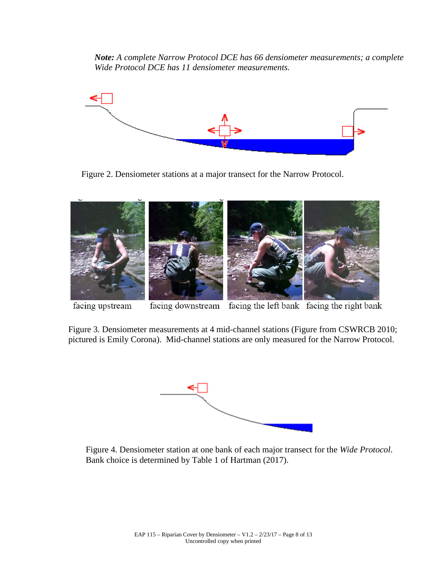*Note: A complete Narrow Protocol DCE has 66 densiometer measurements; a complete Wide Protocol DCE has 11 densiometer measurements.*



Figure 2. Densiometer stations at a major transect for the Narrow Protocol.



facing downstream facing the left bank facing the right bank facing upstream

Figure 3. Densiometer measurements at 4 mid-channel stations (Figure from CSWRCB 2010; pictured is Emily Corona). Mid-channel stations are only measured for the Narrow Protocol.



 Figure 4. Densiometer station at one bank of each major transect for the *Wide Protocol*. Bank choice is determined by Table 1 of Hartman (2017).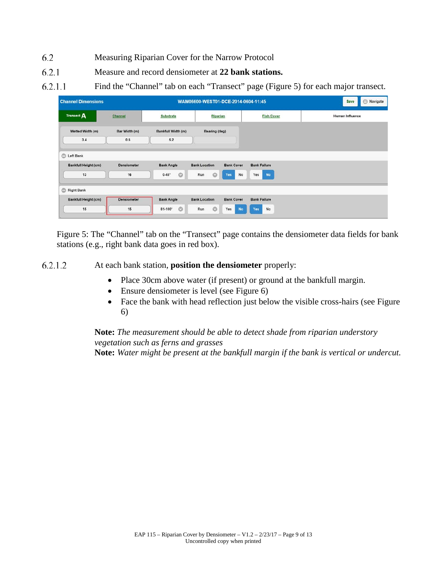- 6.2 Measuring Riparian Cover for the Narrow Protocol
- $6.2.1$ Measure and record densiometer at **22 bank stations.**
- $6.2.1.1$ Find the "Channel" tab on each "Transect" page (Figure 5) for each major transect.

| <b>Channel Dimensions</b>   |                      |                             | WAM06600-WEST01-DCE-2014-0604-11:45       | $\bigcirc$<br>Navigate<br>Save |                 |
|-----------------------------|----------------------|-----------------------------|-------------------------------------------|--------------------------------|-----------------|
| Transect A                  | Channel              | Substrate                   | <b>Fish Cover</b><br>Riparian             |                                | Human Influence |
| Wetted Width (m)<br>3.4     | Bar Width (m)<br>0.6 | Bankfull Width (m)<br>6.2   | Bearing (deg)                             |                                |                 |
| C Left Bank                 |                      |                             |                                           |                                |                 |
| <b>Bankfull Height (cm)</b> | <b>Densiometer</b>   | <b>Bank Angle</b>           | <b>Bank Cover</b><br><b>Bank Location</b> | <b>Bank Failure</b>            |                 |
| $13$                        | 16                   | $\circ$<br>$0 - 45^{\circ}$ | O<br>No<br>Run<br>Yes                     | Yes<br><b>No</b>               |                 |
| Right Bank                  |                      |                             |                                           |                                |                 |
| <b>Bankfull Height (cm)</b> | Densiometer          | <b>Bank Angle</b>           | <b>Bank Cover</b><br><b>Bank Location</b> | <b>Bank Failure</b>            |                 |
| 15                          | 15                   | $\circ$<br>81-100°          | $\circ$<br>Run<br>Yes<br><b>No</b>        | Yes<br>No                      |                 |

Figure 5: The "Channel" tab on the "Transect" page contains the densiometer data fields for bank stations (e.g., right bank data goes in red box).

6.2.1.2 At each bank station, **position the densiometer** properly:

- Place 30cm above water (if present) or ground at the bankfull margin.
- Ensure densiometer is level (see Figure 6)
- Face the bank with head reflection just below the visible cross-hairs (see Figure 6)

**Note:** *The measurement should be able to detect shade from riparian understory vegetation such as ferns and grasses*

**Note:** *Water might be present at the bankfull margin if the bank is vertical or undercut.*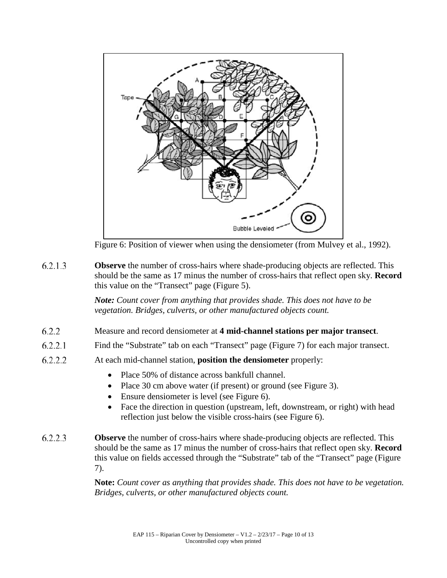

Figure 6: Position of viewer when using the densiometer (from Mulvey et al., 1992).

 $6.2.1.3$ **Observe** the number of cross-hairs where shade-producing objects are reflected. This should be the same as 17 minus the number of cross-hairs that reflect open sky. **Record** this value on the "Transect" page (Figure 5).

> *Note: Count cover from anything that provides shade. This does not have to be vegetation. Bridges, culverts, or other manufactured objects count.*

- $6.2.2$ Measure and record densiometer at **4 mid-channel stations per major transect**.
- $6.2.2.1$ Find the "Substrate" tab on each "Transect" page (Figure 7) for each major transect.
- 6.2.2.2 At each mid-channel station, **position the densiometer** properly:
	- Place 50% of distance across bankfull channel.
	- Place 30 cm above water (if present) or ground (see Figure 3).
	- Ensure densiometer is level (see Figure 6).
	- Face the direction in question (upstream, left, downstream, or right) with head reflection just below the visible cross-hairs (see Figure 6).
- 6.2.2.3 **Observe** the number of cross-hairs where shade-producing objects are reflected. This should be the same as 17 minus the number of cross-hairs that reflect open sky. **Record** this value on fields accessed through the "Substrate" tab of the "Transect" page (Figure 7).

**Note:** *Count cover as anything that provides shade. This does not have to be vegetation. Bridges, culverts, or other manufactured objects count.*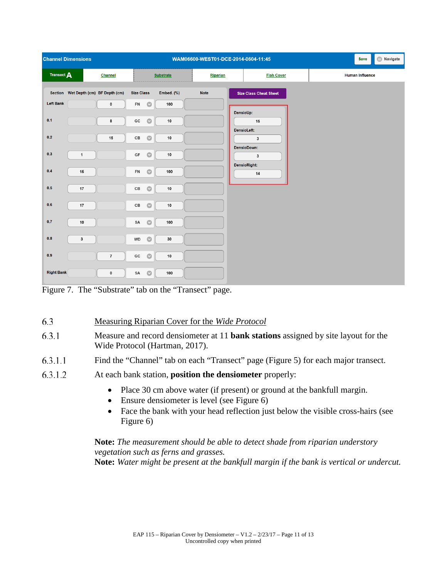|                   | <b>Channel Dimensions</b>            |                |                                     |                  | WAM06600-WEST01-DCE-2014-0604-11:45 |                                             | $\bigoplus$ Navigate<br>Save |
|-------------------|--------------------------------------|----------------|-------------------------------------|------------------|-------------------------------------|---------------------------------------------|------------------------------|
| Transect A        |                                      | Channel        |                                     | <b>Substrate</b> | Riparian                            | <b>Fish Cover</b>                           | Human Influence              |
|                   | Section Wet Depth (cm) BF Depth (cm) |                | <b>Size Class</b>                   | Embed. (%)       | <b>Note</b>                         | <b>Size Class Cheat Sheet</b>               |                              |
| <b>Left Bank</b>  |                                      | 0              | ${\sf FN}$<br>$\bullet$             | 100              |                                     |                                             |                              |
| 0.1               |                                      | 8              | ${\tt GC}$<br>$\bullet$             | $10\,$           |                                     | DensioUp:<br>15<br>DensioLeft:              |                              |
| $0.2\,$           |                                      | $15\,$         | $\mathbb{C}\mathbb{B}$<br>$\bullet$ | $10$             |                                     | $\mathbf{3}$                                |                              |
| $0.3\,$           | $\mathbf{1}$                         |                | $\bullet$<br>GF                     | $10\,$           |                                     | DensioDown:<br>$\mathbf{3}$<br>DensioRight: |                              |
| $0.4\,$           | 15                                   |                | ${\sf FN}$<br>$\bullet$             | 100              |                                     | 14                                          |                              |
| $0.5\,$           | $17\,$                               |                | $\mathsf{CB}$<br>$\bullet$          | $10\,$           |                                     |                                             |                              |
| $0.6\,$           | 17                                   |                | $\mathbb{C}\mathbb{B}$<br>$\bullet$ | $10\,$           |                                     |                                             |                              |
| 0.7               | $10$                                 |                | $\bullet$<br>SA                     | 100              |                                     |                                             |                              |
| $\mathbf{0.8}$    | $\mathbf 3$                          |                | $\bullet$<br><b>WD</b>              | 30               |                                     |                                             |                              |
| 0.9               |                                      | $\overline{7}$ | $\bullet$<br>${\bf GC}$             | $10$             |                                     |                                             |                              |
| <b>Right Bank</b> |                                      | $\pmb{0}$      | SA<br>$\bullet$                     | 100              |                                     |                                             |                              |

Figure 7. The "Substrate" tab on the "Transect" page.

- 6.3 Measuring Riparian Cover for the *Wide Protocol*
- 6.3.1 Measure and record densiometer at 11 **bank stations** assigned by site layout for the Wide Protocol (Hartman, 2017).
- $6.3.1.1$ Find the "Channel" tab on each "Transect" page (Figure 5) for each major transect.
- 6.3.1.2 At each bank station, **position the densiometer** properly:
	- Place 30 cm above water (if present) or ground at the bankfull margin.
	- Ensure densiometer is level (see Figure 6)
	- Face the bank with your head reflection just below the visible cross-hairs (see Figure 6)

### **Note:** *The measurement should be able to detect shade from riparian understory vegetation such as ferns and grasses.*

**Note:** *Water might be present at the bankfull margin if the bank is vertical or undercut.*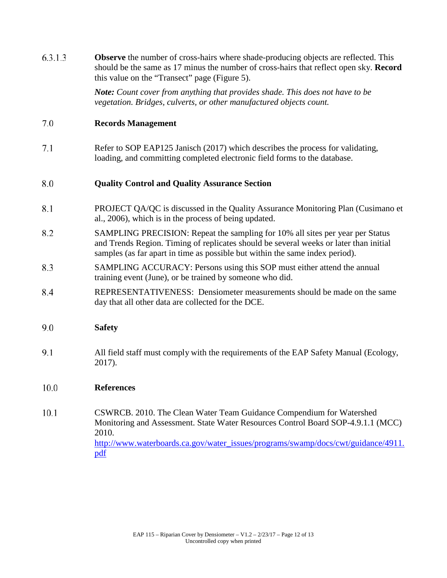| 6.3.1.3 | <b>Observe</b> the number of cross-hairs where shade-producing objects are reflected. This<br>should be the same as 17 minus the number of cross-hairs that reflect open sky. Record<br>this value on the "Transect" page (Figure 5).                         |  |  |  |  |  |
|---------|---------------------------------------------------------------------------------------------------------------------------------------------------------------------------------------------------------------------------------------------------------------|--|--|--|--|--|
|         | <b>Note:</b> Count cover from anything that provides shade. This does not have to be<br>vegetation. Bridges, culverts, or other manufactured objects count.                                                                                                   |  |  |  |  |  |
| 7.0     | <b>Records Management</b>                                                                                                                                                                                                                                     |  |  |  |  |  |
| 7.1     | Refer to SOP EAP125 Janisch (2017) which describes the process for validating,<br>loading, and committing completed electronic field forms to the database.                                                                                                   |  |  |  |  |  |
| 8.0     | <b>Quality Control and Quality Assurance Section</b>                                                                                                                                                                                                          |  |  |  |  |  |
| 8.1     | PROJECT QA/QC is discussed in the Quality Assurance Monitoring Plan (Cusimano et<br>al., 2006), which is in the process of being updated.                                                                                                                     |  |  |  |  |  |
| 8.2     | SAMPLING PRECISION: Repeat the sampling for 10% all sites per year per Status<br>and Trends Region. Timing of replicates should be several weeks or later than initial<br>samples (as far apart in time as possible but within the same index period).        |  |  |  |  |  |
| 8.3     | SAMPLING ACCURACY: Persons using this SOP must either attend the annual<br>training event (June), or be trained by someone who did.                                                                                                                           |  |  |  |  |  |
| 8.4     | REPRESENTATIVENESS: Densiometer measurements should be made on the same<br>day that all other data are collected for the DCE.                                                                                                                                 |  |  |  |  |  |
| 9.0     | <b>Safety</b>                                                                                                                                                                                                                                                 |  |  |  |  |  |
| 9.1     | All field staff must comply with the requirements of the EAP Safety Manual (Ecology,<br>2017).                                                                                                                                                                |  |  |  |  |  |
| 10.0    | <b>References</b>                                                                                                                                                                                                                                             |  |  |  |  |  |
| 10.1    | CSWRCB. 2010. The Clean Water Team Guidance Compendium for Watershed<br>Monitoring and Assessment. State Water Resources Control Board SOP-4.9.1.1 (MCC)<br>2010.<br>http://www.waterboards.ca.gov/water_issues/programs/swamp/docs/cwt/guidance/4911.<br>pdf |  |  |  |  |  |